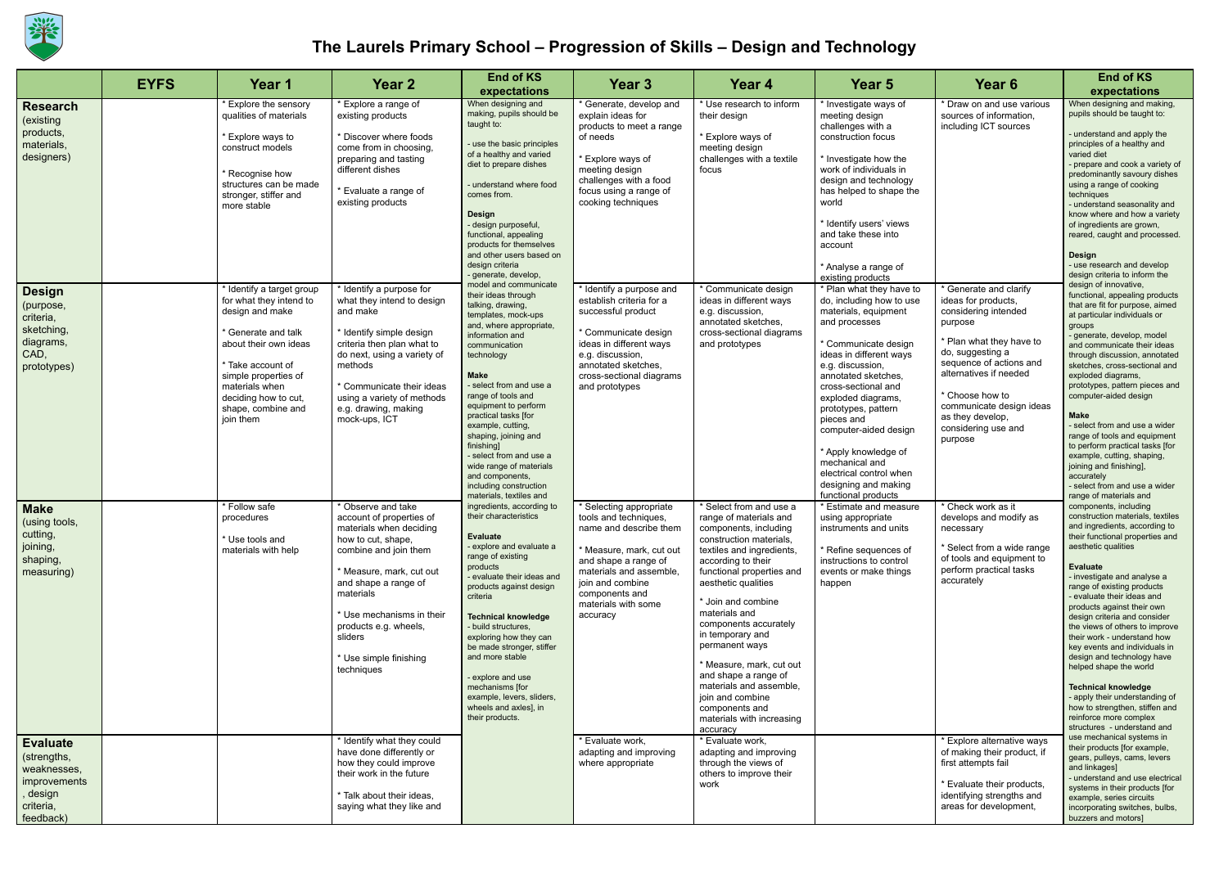

## **The Laurels Primary School – Progression of Skills – Design and Technology**

|                                                                                                   | <b>EYFS</b> | Year 1                                                                                                                                                                                                                                                       | Year <sub>2</sub>                                                                                                                                                                                                                                                                                  | <b>End of KS</b>                                                                                                                                                                                                                                                                                                                                                                                                                                                           | Year <sub>3</sub>                                                                                                                                                                                                                | Year 4                                                                                                                                                                                                                                                                                                                                                                                                                                                                           | Year 5                                                                                                                                                                                                                                                                                                                                                                                                                   | Year <sub>6</sub>                                                                                                                                                                                                                                                                          | <b>End of KS</b>                                                                                                                                                                                                                                                                                                                                                                                                                                                                                                                                                                                                                                      |
|---------------------------------------------------------------------------------------------------|-------------|--------------------------------------------------------------------------------------------------------------------------------------------------------------------------------------------------------------------------------------------------------------|----------------------------------------------------------------------------------------------------------------------------------------------------------------------------------------------------------------------------------------------------------------------------------------------------|----------------------------------------------------------------------------------------------------------------------------------------------------------------------------------------------------------------------------------------------------------------------------------------------------------------------------------------------------------------------------------------------------------------------------------------------------------------------------|----------------------------------------------------------------------------------------------------------------------------------------------------------------------------------------------------------------------------------|----------------------------------------------------------------------------------------------------------------------------------------------------------------------------------------------------------------------------------------------------------------------------------------------------------------------------------------------------------------------------------------------------------------------------------------------------------------------------------|--------------------------------------------------------------------------------------------------------------------------------------------------------------------------------------------------------------------------------------------------------------------------------------------------------------------------------------------------------------------------------------------------------------------------|--------------------------------------------------------------------------------------------------------------------------------------------------------------------------------------------------------------------------------------------------------------------------------------------|-------------------------------------------------------------------------------------------------------------------------------------------------------------------------------------------------------------------------------------------------------------------------------------------------------------------------------------------------------------------------------------------------------------------------------------------------------------------------------------------------------------------------------------------------------------------------------------------------------------------------------------------------------|
|                                                                                                   |             |                                                                                                                                                                                                                                                              |                                                                                                                                                                                                                                                                                                    | expectations                                                                                                                                                                                                                                                                                                                                                                                                                                                               |                                                                                                                                                                                                                                  |                                                                                                                                                                                                                                                                                                                                                                                                                                                                                  |                                                                                                                                                                                                                                                                                                                                                                                                                          |                                                                                                                                                                                                                                                                                            | expectations                                                                                                                                                                                                                                                                                                                                                                                                                                                                                                                                                                                                                                          |
| <b>Research</b><br>(existing<br>products,<br>materials,<br>designers)                             |             | * Explore the sensory<br>qualities of materials<br>* Explore ways to<br>construct models<br>* Recognise how<br>structures can be made<br>stronger, stiffer and<br>more stable                                                                                | * Explore a range of<br>existing products<br>* Discover where foods<br>come from in choosing,<br>preparing and tasting<br>different dishes<br>* Evaluate a range of<br>existing products                                                                                                           | When designing and<br>making, pupils should be<br>taught to:<br>use the basic principles<br>of a healthy and varied<br>diet to prepare dishes<br>understand where food<br>comes from.<br><b>Design</b><br>- design purposeful,<br>functional, appealing<br>products for themselves<br>and other users based on<br>design criteria<br>- generate, develop,                                                                                                                  | * Generate, develop and<br>explain ideas for<br>products to meet a range<br>of needs<br>* Explore ways of<br>meeting design<br>challenges with a food<br>focus using a range of<br>cooking techniques                            | * Use research to inform<br>their design<br>* Explore ways of<br>meeting design<br>challenges with a textile<br>focus                                                                                                                                                                                                                                                                                                                                                            | Investigate ways of<br>meeting design<br>challenges with a<br>construction focus<br>Investigate how the<br>work of individuals in<br>design and technology<br>has helped to shape the<br>world<br>' Identify users' views<br>and take these into<br>account<br>* Analyse a range of<br>existing products                                                                                                                 | * Draw on and use various<br>sources of information,<br>including ICT sources                                                                                                                                                                                                              | When designing and making,<br>pupils should be taught to:<br>- understand and apply the<br>principles of a healthy and<br>varied diet<br>- prepare and cook a variety of<br>predominantly savoury dishes<br>using a range of cooking<br>techniques<br>- understand seasonality and<br>know where and how a variety<br>of ingredients are grown,<br>reared, caught and processed.<br><b>Design</b><br>- use research and develop<br>design criteria to inform the                                                                                                                                                                                      |
| <b>Design</b><br>(purpose,<br>criteria,<br>sketching,<br>diagrams,<br>CAD,<br>prototypes)         |             | * Identify a target group<br>for what they intend to<br>design and make<br><sup>*</sup> Generate and talk<br>about their own ideas<br>* Take account of<br>simple properties of<br>materials when<br>deciding how to cut,<br>shape, combine and<br>join them | * Identify a purpose for<br>what they intend to design<br>and make<br>* Identify simple design<br>criteria then plan what to<br>do next, using a variety of<br>methods<br>* Communicate their ideas<br>using a variety of methods<br>e.g. drawing, making<br>mock-ups, ICT                         | model and communicate<br>their ideas through<br>talking, drawing,<br>templates, mock-ups<br>and, where appropriate,<br>information and<br>communication<br>technology<br><b>Make</b><br>select from and use a<br>range of tools and<br>equipment to perform<br>practical tasks [for<br>example, cutting,<br>shaping, joining and<br>finishing]<br>select from and use a<br>wide range of materials<br>and components.<br>including construction<br>materials, textiles and | * Identify a purpose and<br>establish criteria for a<br>successful product<br>* Communicate design<br>ideas in different ways<br>e.g. discussion,<br>annotated sketches,<br>cross-sectional diagrams<br>and prototypes           | * Communicate design<br>ideas in different ways<br>e.g. discussion,<br>annotated sketches,<br>cross-sectional diagrams<br>and prototypes                                                                                                                                                                                                                                                                                                                                         | Plan what they have to<br>do, including how to use<br>materials, equipment<br>and processes<br>* Communicate design<br>ideas in different ways<br>e.g. discussion,<br>annotated sketches.<br>cross-sectional and<br>exploded diagrams,<br>prototypes, pattern<br>pieces and<br>computer-aided design<br>* Apply knowledge of<br>mechanical and<br>electrical control when<br>designing and making<br>functional products | * Generate and clarify<br>ideas for products,<br>considering intended<br>purpose<br>* Plan what they have to<br>do, suggesting a<br>sequence of actions and<br>alternatives if needed<br>* Choose how to<br>communicate design ideas<br>as they develop,<br>considering use and<br>purpose | design of innovative,<br>functional, appealing products<br>that are fit for purpose, aimed<br>at particular individuals or<br>groups<br>- generate, develop, model<br>and communicate their ideas<br>through discussion, annotated<br>sketches, cross-sectional and<br>exploded diagrams,<br>prototypes, pattern pieces and<br>computer-aided design<br><b>Make</b><br>select from and use a wider<br>range of tools and equipment<br>to perform practical tasks [for<br>example, cutting, shaping,<br>joining and finishing],<br>accurately<br>select from and use a wider<br>range of materials and                                                 |
| <b>Make</b><br>(using tools,<br>cutting,<br>joining,<br>shaping,<br>measuring)                    |             | * Follow safe<br>procedures<br>* Use tools and<br>materials with help                                                                                                                                                                                        | * Observe and take<br>account of properties of<br>materials when deciding<br>how to cut, shape,<br>combine and join them<br>* Measure, mark, cut out<br>and shape a range of<br>materials<br>* Use mechanisms in their<br>products e.g. wheels,<br>sliders<br>* Use simple finishing<br>techniques | ingredients, according to<br>their characteristics<br>Evaluate<br>- explore and evaluate a<br>range of existing<br>products<br>evaluate their ideas and<br>products against design<br>criteria<br><b>Technical knowledge</b><br>build structures.<br>exploring how they can<br>be made stronger, stiffer<br>and more stable<br>explore and use<br>mechanisms [for<br>example, levers, sliders,<br>wheels and axles], in<br>their products.                                 | Selecting appropriate<br>tools and techniques.<br>name and describe them<br>* Measure, mark, cut out<br>and shape a range of<br>materials and assemble,<br>join and combine<br>components and<br>materials with some<br>accuracy | * Select from and use a<br>range of materials and<br>components, including<br>construction materials.<br>textiles and ingredients,<br>according to their<br>functional properties and<br>aesthetic qualities<br>* Join and combine<br>materials and<br>components accurately<br>in temporary and<br>permanent ways<br>* Measure, mark, cut out<br>and shape a range of<br>materials and assemble,<br>join and combine<br>components and<br>materials with increasing<br>accuracy | <b>Estimate and measure</b><br>using appropriate<br>instruments and units<br><sup>*</sup> Refine sequences of<br>instructions to control<br>events or make things<br>happen                                                                                                                                                                                                                                              | * Check work as it<br>develops and modify as<br>necessary<br>* Select from a wide range<br>of tools and equipment to<br>perform practical tasks<br>accurately                                                                                                                              | components, including<br>construction materials, textiles<br>and ingredients, according to<br>their functional properties and<br>aesthetic qualities<br><b>Evaluate</b><br>- investigate and analyse a<br>range of existing products<br>- evaluate their ideas and<br>products against their own<br>design criteria and consider<br>the views of others to improve<br>their work - understand how<br>key events and individuals in<br>design and technology have<br>helped shape the world<br><b>Technical knowledge</b><br>- apply their understanding of<br>how to strengthen, stiffen and<br>reinforce more complex<br>structures - understand and |
| <b>Evaluate</b><br>(strengths,<br>weaknesses,<br>improvements<br>design<br>criteria,<br>feedback) |             |                                                                                                                                                                                                                                                              | * Identify what they could<br>have done differently or<br>how they could improve<br>their work in the future<br>* Talk about their ideas,<br>saying what they like and                                                                                                                             |                                                                                                                                                                                                                                                                                                                                                                                                                                                                            | * Evaluate work,<br>adapting and improving<br>where appropriate                                                                                                                                                                  | * Evaluate work,<br>adapting and improving<br>through the views of<br>others to improve their<br>work                                                                                                                                                                                                                                                                                                                                                                            |                                                                                                                                                                                                                                                                                                                                                                                                                          | Explore alternative ways<br>of making their product, if<br>first attempts fail<br>* Evaluate their products,<br>identifying strengths and<br>areas for development,                                                                                                                        | use mechanical systems in<br>their products [for example,<br>gears, pulleys, cams, levers<br>and linkages]<br>- understand and use electrical<br>systems in their products [for<br>example, series circuits<br>incorporating switches, bulbs,<br>buzzers and motors]                                                                                                                                                                                                                                                                                                                                                                                  |